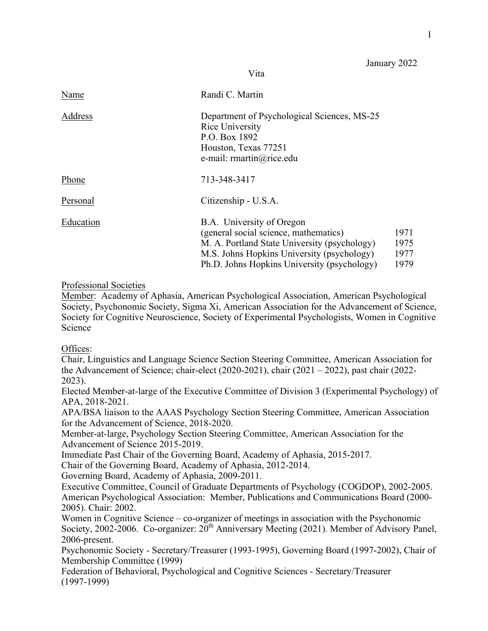January 2022

| Name      | Randi C. Martin                                                                                                                                                                                                 |                              |
|-----------|-----------------------------------------------------------------------------------------------------------------------------------------------------------------------------------------------------------------|------------------------------|
| Address   | Department of Psychological Sciences, MS-25<br>Rice University<br>P.O. Box 1892<br>Houston, Texas 77251<br>e-mail: rmartin@rice.edu                                                                             |                              |
| Phone     | 713-348-3417                                                                                                                                                                                                    |                              |
| Personal  | Citizenship - U.S.A.                                                                                                                                                                                            |                              |
| Education | B.A. University of Oregon<br>(general social science, mathematics)<br>M. A. Portland State University (psychology)<br>M.S. Johns Hopkins University (psychology)<br>Ph.D. Johns Hopkins University (psychology) | 1971<br>1975<br>1977<br>1979 |

Vita

## Professional Societies

Member: Academy of Aphasia, American Psychological Association, American Psychological Society, Psychonomic Society, Sigma Xi, American Association for the Advancement of Science, Society for Cognitive Neuroscience, Society of Experimental Psychologists, Women in Cognitive Science

## Offices:

 the Advancement of Science; chair-elect (2020-2021), chair (2021 – 2022), past chair (2022- Chair, Linguistics and Language Science Section Steering Committee, American Association for 2023).

Elected Member-at-large of the Executive Committee of Division 3 (Experimental Psychology) of APA, 2018-2021.

APA/BSA liaison to the AAAS Psychology Section Steering Committee, American Association for the Advancement of Science, 2018-2020.

 Advancement of Science 2015-2019. Member-at-large, Psychology Section Steering Committee, American Association for the

Immediate Past Chair of the Governing Board, Academy of Aphasia, 2015-2017.

Chair of the Governing Board, Academy of Aphasia, 2012-2014.

Governing Board, Academy of Aphasia, 2009-2011.

 2005). Chair: 2002. Executive Committee, Council of Graduate Departments of Psychology (COGDOP), 2002-2005. American Psychological Association: Member, Publications and Communications Board (2000-

 Women in Cognitive Science – co-organizer of meetings in association with the Psychonomic Society, 2002-2006. Co-organizer: 20<sup>th</sup> Anniversary Meeting (2021). Member of Advisory Panel, 2006-present.

Psychonomic Society - Secretary/Treasurer (1993-1995), Governing Board (1997-2002), Chair of Membership Committee (1999)

 Federation of Behavioral, Psychological and Cognitive Sciences - Secretary/Treasurer (1997-1999)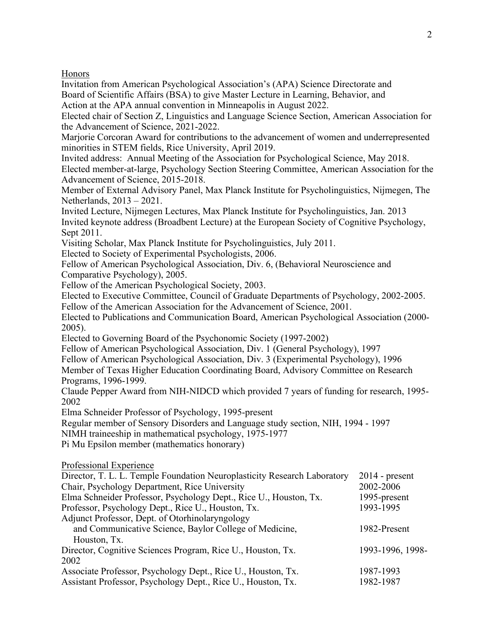Honors

 Invitation from American Psychological Association's (APA) Science Directorate and Board of Scientific Affairs (BSA) to give Master Lecture in Learning, Behavior, and

Action at the APA annual convention in Minneapolis in August 2022.

Elected chair of Section Z, Linguistics and Language Science Section, American Association for the Advancement of Science, 2021-2022.

Marjorie Corcoran Award for contributions to the advancement of women and underrepresented minorities in STEM fields, Rice University, April 2019.

Invited address: Annual Meeting of the Association for Psychological Science, May 2018. Elected member-at-large, Psychology Section Steering Committee, American Association for the Advancement of Science, 2015-2018.

 Netherlands, 2013 – 2021. Member of External Advisory Panel, Max Planck Institute for Psycholinguistics, Nijmegen, The

Invited Lecture, Nijmegen Lectures, Max Planck Institute for Psycholinguistics, Jan. 2013 Invited keynote address (Broadbent Lecture) at the European Society of Cognitive Psychology, Sept 2011.

Visiting Scholar, Max Planck Institute for Psycholinguistics, July 2011.

Elected to Society of Experimental Psychologists, 2006.

Fellow of American Psychological Association, Div. 6, (Behavioral Neuroscience and Comparative Psychology), 2005.

Fellow of the American Psychological Society, 2003.

Elected to Executive Committee, Council of Graduate Departments of Psychology, 2002-2005. Fellow of the American Association for the Advancement of Science, 2001.

Elected to Publications and Communication Board, American Psychological Association (2000- 2005).

Elected to Governing Board of the Psychonomic Society (1997-2002)

Fellow of American Psychological Association, Div. 1 (General Psychology), 1997

Fellow of American Psychological Association, Div. 3 (Experimental Psychology), 1996

Member of Texas Higher Education Coordinating Board, Advisory Committee on Research Programs, 1996-1999.

Claude Pepper Award from NIH-NIDCD which provided 7 years of funding for research, 1995- 2002

Elma Schneider Professor of Psychology, 1995-present

Regular member of Sensory Disorders and Language study section, NIH, 1994 - 1997

NIMH traineeship in mathematical psychology, 1975-1977

Pi Mu Epsilon member (mathematics honorary)

|  | Professional Experience |  |
|--|-------------------------|--|
|--|-------------------------|--|

| Director, T. L. L. Temple Foundation Neuroplasticity Research Laboratory | $2014$ - present |
|--------------------------------------------------------------------------|------------------|
| Chair, Psychology Department, Rice University                            | 2002-2006        |
| Elma Schneider Professor, Psychology Dept., Rice U., Houston, Tx.        | 1995-present     |
| Professor, Psychology Dept., Rice U., Houston, Tx.                       | 1993-1995        |
| Adjunct Professor, Dept. of Otorhinolaryngology                          |                  |
| and Communicative Science, Baylor College of Medicine,                   | 1982-Present     |
| Houston, Tx.                                                             |                  |
| Director, Cognitive Sciences Program, Rice U., Houston, Tx.              | 1993-1996, 1998- |
| 2002                                                                     |                  |
| Associate Professor, Psychology Dept., Rice U., Houston, Tx.             | 1987-1993        |
| Assistant Professor, Psychology Dept., Rice U., Houston, Tx.             | 1982-1987        |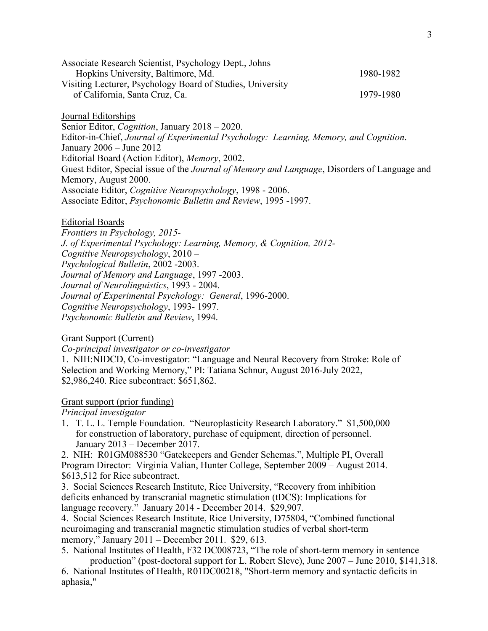| Associate Research Scientist, Psychology Dept., Johns      |           |
|------------------------------------------------------------|-----------|
| Hopkins University, Baltimore, Md.                         | 1980-1982 |
| Visiting Lecturer, Psychology Board of Studies, University |           |
| of California, Santa Cruz, Ca.                             | 1979-1980 |
|                                                            |           |

 Senior Editor, *Cognition*, January 2018 – 2020. January 2006 – June 2012 Memory, August 2000. Associate Editor, *Cognitive Neuropsychology*, 1998 - 2006. Journal Editorships Editor-in-Chief, *Journal of Experimental Psychology: Learning, Memory, and Cognition*. Editorial Board (Action Editor), *Memory*, 2002. Guest Editor, Special issue of the *Journal of Memory and Language*, Disorders of Language and Associate Editor, *Psychonomic Bulletin and Review*, 1995 -1997.

## Editorial Boards

 *Cognitive Neuropsychology*, 2010 – *Journal of Neurolinguistics*, 1993 - 2004. *Cognitive Neuropsychology*, 1993- 1997. *Frontiers in Psychology, 2015- J. of Experimental Psychology: Learning, Memory, & Cognition, 2012- Psychological Bulletin*, 2002 -2003. *Journal of Memory and Language*, 1997 -2003. *Journal of Experimental Psychology: General*, 1996-2000. *Psychonomic Bulletin and Review*, 1994.

## Grant Support (Current)

*Co-principal investigator or co-investigator* 

 Selection and Working Memory," PI: Tatiana Schnur, August 2016-July 2022, 1. NIH:NIDCD, Co-investigator: "Language and Neural Recovery from Stroke: Role of \$2,986,240. Rice subcontract: \$651,862.

#### Grant support (prior funding)

*Principal investigator* 

1. T. L. L. Temple Foundation. "Neuroplasticity Research Laboratory." \$1,500,000 for construction of laboratory, purchase of equipment, direction of personnel. January 2013 – December 2017.

2. NIH: R01GM088530 "Gatekeepers and Gender Schemas.", Multiple PI, Overall Program Director: Virginia Valian, Hunter College, September 2009 – August 2014. \$613,512 for Rice subcontract.

3. Social Sciences Research Institute, Rice University, "Recovery from inhibition deficits enhanced by transcranial magnetic stimulation (tDCS): Implications for language recovery." January 2014 - December 2014. \$29,907.

4. Social Sciences Research Institute, Rice University, D75804, "Combined functional neuroimaging and transcranial magnetic stimulation studies of verbal short-term memory," January 2011 – December 2011. \$29, 613.

5. National Institutes of Health, F32 DC008723, "The role of short-term memory in sentence production" (post-doctoral support for L. Robert Slevc), June 2007 – June 2010, \$141,318.

6. National Institutes of Health, R01DC00218, "Short-term memory and syntactic deficits in aphasia,"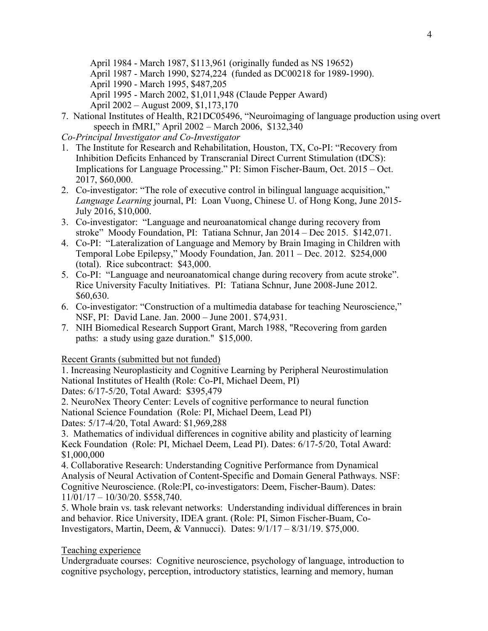April 1984 - March 1987, \$113,961 (originally funded as NS 19652)

- April 1987 March 1990, \$274,224 (funded as DC00218 for 1989-1990).
- April 1990 March 1995, \$487,205

April 1995 - March 2002, \$1,011,948 (Claude Pepper Award)

- April 2002 August 2009, \$1,173,170
- 7. National Institutes of Health, R21DC05496, "Neuroimaging of language production using overt speech in fMRI," April 2002 – March 2006, \$132,340

*Co-Principal Investigator and Co-Investigator* 

- 1. The Institute for Research and Rehabilitation, Houston, TX, Co-PI: "Recovery from Inhibition Deficits Enhanced by Transcranial Direct Current Stimulation (tDCS): Implications for Language Processing." PI: Simon Fischer-Baum, Oct. 2015 – Oct. 2017, \$60,000.
- 2. Co-investigator: "The role of executive control in bilingual language acquisition," *Language Learning* journal, PI: Loan Vuong, Chinese U. of Hong Kong, June 2015- July 2016, \$10,000.
- 3. Co-investigator: "Language and neuroanatomical change during recovery from stroke" Moody Foundation, PI: Tatiana Schnur, Jan 2014 – Dec 2015. \$142,071.
- 4. Co-PI: "Lateralization of Language and Memory by Brain Imaging in Children with Temporal Lobe Epilepsy," Moody Foundation, Jan. 2011 – Dec. 2012. \$254,000 (total). Rice subcontract: \$43,000.
- 5. Co-PI: "Language and neuroanatomical change during recovery from acute stroke". Rice University Faculty Initiatives. PI: Tatiana Schnur, June 2008-June 2012. \$60,630.
- 6. Co-investigator: "Construction of a multimedia database for teaching Neuroscience," NSF, PI: David Lane. Jan. 2000 – June 2001. \$74,931.
- 7. NIH Biomedical Research Support Grant, March 1988, "Recovering from garden paths: a study using gaze duration." \$15,000.

Recent Grants (submitted but not funded)

 Dates: 6/17-5/20, Total Award: \$395,479 1. Increasing Neuroplasticity and Cognitive Learning by Peripheral Neurostimulation National Institutes of Health (Role: Co-PI, Michael Deem, PI)

2. NeuroNex Theory Center: Levels of cognitive performance to neural function National Science Foundation (Role: PI, Michael Deem, Lead PI) Dates: 5/17-4/20, Total Award: \$1,969,288

3. Mathematics of individual differences in cognitive ability and plasticity of learning Keck Foundation (Role: PI, Michael Deem, Lead PI). Dates: 6/17-5/20, Total Award: \$1,000,000

4. Collaborative Research: Understanding Cognitive Performance from Dynamical Analysis of Neural Activation of Content-Specific and Domain General Pathways. NSF: Cognitive Neuroscience. (Role:PI, co-investigators: Deem, Fischer-Baum). Dates: 11/01/17 – 10/30/20. \$558,740.

5. Whole brain vs. task relevant networks: Understanding individual differences in brain and behavior. Rice University, IDEA grant. (Role: PI, Simon Fischer-Buam, Co-Investigators, Martin, Deem, & Vannucci). Dates: 9/1/17 – 8/31/19. \$75,000.

# Teaching experience

 Undergraduate courses: Cognitive neuroscience, psychology of language, introduction to cognitive psychology, perception, introductory statistics, learning and memory, human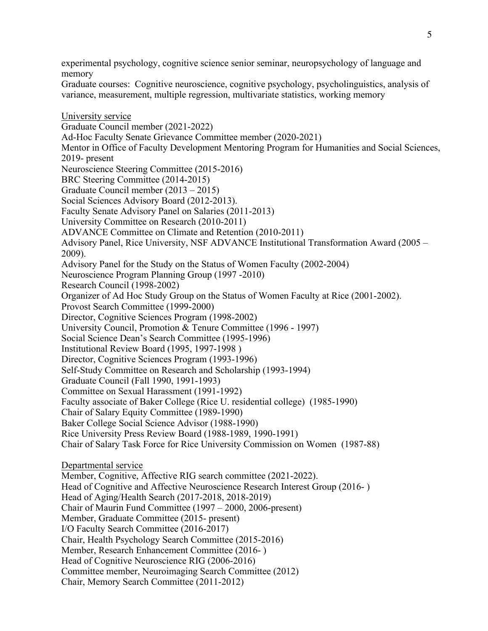experimental psychology, cognitive science senior seminar, neuropsychology of language and memory

Graduate courses: Cognitive neuroscience, cognitive psychology, psycholinguistics, analysis of variance, measurement, multiple regression, multivariate statistics, working memory

 2019- present Graduate Council member (2013 – 2015) University Council, Promotion & Tenure Committee (1996 - 1997) Head of Cognitive and Affective Neuroscience Research Interest Group (2016- ) Member, Graduate Committee (2015- present) Member, Research Enhancement Committee (2016- ) University service Graduate Council member (2021-2022) Ad-Hoc Faculty Senate Grievance Committee member (2020-2021) Mentor in Office of Faculty Development Mentoring Program for Humanities and Social Sciences, Neuroscience Steering Committee (2015-2016) BRC Steering Committee (2014-2015) Social Sciences Advisory Board (2012-2013). Faculty Senate Advisory Panel on Salaries (2011-2013) University Committee on Research (2010-2011) ADVANCE Committee on Climate and Retention (2010-2011) Advisory Panel, Rice University, NSF ADVANCE Institutional Transformation Award (2005 – 2009). Advisory Panel for the Study on the Status of Women Faculty (2002-2004) Neuroscience Program Planning Group (1997 -2010) Research Council (1998-2002) Organizer of Ad Hoc Study Group on the Status of Women Faculty at Rice (2001-2002). Provost Search Committee (1999-2000) Director, Cognitive Sciences Program (1998-2002) Social Science Dean's Search Committee (1995-1996) Institutional Review Board (1995, 1997-1998 ) Director, Cognitive Sciences Program (1993-1996) Self-Study Committee on Research and Scholarship (1993-1994) Graduate Council (Fall 1990, 1991-1993) Committee on Sexual Harassment (1991-1992) Faculty associate of Baker College (Rice U. residential college) (1985-1990) Chair of Salary Equity Committee (1989-1990) Baker College Social Science Advisor (1988-1990) Rice University Press Review Board (1988-1989, 1990-1991) Chair of Salary Task Force for Rice University Commission on Women (1987-88) Departmental service Member, Cognitive, Affective RIG search committee (2021-2022). Head of Aging/Health Search (2017-2018, 2018-2019) Chair of Maurin Fund Committee (1997 – 2000, 2006-present) I/O Faculty Search Committee (2016-2017) Chair, Health Psychology Search Committee (2015-2016) Head of Cognitive Neuroscience RIG (2006-2016) Committee member, Neuroimaging Search Committee (2012) Chair, Memory Search Committee (2011-2012)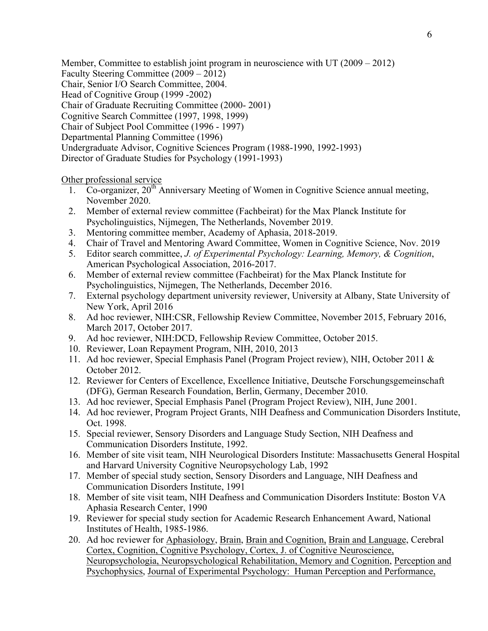Member, Committee to establish joint program in neuroscience with UT (2009 – 2012)

Faculty Steering Committee (2009 – 2012)

Chair, Senior I/O Search Committee, 2004.

Head of Cognitive Group (1999 -2002)

Chair of Graduate Recruiting Committee (2000- 2001)

Cognitive Search Committee (1997, 1998, 1999)

Chair of Subject Pool Committee (1996 - 1997)

Departmental Planning Committee (1996)

Undergraduate Advisor, Cognitive Sciences Program (1988-1990, 1992-1993)

Director of Graduate Studies for Psychology (1991-1993)

Other professional service

- 1. Co-organizer,  $20<sup>th</sup>$  Anniversary Meeting of Women in Cognitive Science annual meeting, November 2020.
- 2. Member of external review committee (Fachbeirat) for the Max Planck Institute for Psycholinguistics, Nijmegen, The Netherlands, November 2019.
- 3. Mentoring committee member, Academy of Aphasia, 2018-2019.
- 4. Chair of Travel and Mentoring Award Committee, Women in Cognitive Science, Nov. 2019
- 5. Editor search committee, *J. of Experimental Psychology: Learning, Memory, & Cognition*, American Psychological Association, 2016-2017.
- 6. Member of external review committee (Fachbeirat) for the Max Planck Institute for Psycholinguistics, Nijmegen, The Netherlands, December 2016.
- 7. External psychology department university reviewer, University at Albany, State University of New York, April 2016
- 8. Ad hoc reviewer, NIH:CSR, Fellowship Review Committee, November 2015, February 2016, March 2017, October 2017.
- 9. Ad hoc reviewer, NIH:DCD, Fellowship Review Committee, October 2015.
- 10. Reviewer, Loan Repayment Program, NIH, 2010, 2013
- 11. Ad hoc reviewer, Special Emphasis Panel (Program Project review), NIH, October 2011 & October 2012.
- 12. Reviewer for Centers of Excellence, Excellence Initiative, Deutsche Forschungsgemeinschaft (DFG), German Research Foundation, Berlin, Germany, December 2010.
- 13. Ad hoc reviewer, Special Emphasis Panel (Program Project Review), NIH, June 2001.
- 14. Ad hoc reviewer, Program Project Grants, NIH Deafness and Communication Disorders Institute, Oct. 1998.
- 15. Special reviewer, Sensory Disorders and Language Study Section, NIH Deafness and Communication Disorders Institute, 1992.
- 16. Member of site visit team, NIH Neurological Disorders Institute: Massachusetts General Hospital and Harvard University Cognitive Neuropsychology Lab, 1992
- 17. Member of special study section, Sensory Disorders and Language, NIH Deafness and Communication Disorders Institute, 1991
- 18. Member of site visit team, NIH Deafness and Communication Disorders Institute: Boston VA Aphasia Research Center, 1990
- 19. Reviewer for special study section for Academic Research Enhancement Award, National Institutes of Health, 1985-1986.
- 20. Ad hoc reviewer for Aphasiology, Brain, Brain and Cognition, Brain and Language, Cerebral Cortex, Cognition, Cognitive Psychology, Cortex, J. of Cognitive Neuroscience, Neuropsychologia, Neuropsychological Rehabilitation, Memory and Cognition, Perception and Psychophysics, Journal of Experimental Psychology: Human Perception and Performance,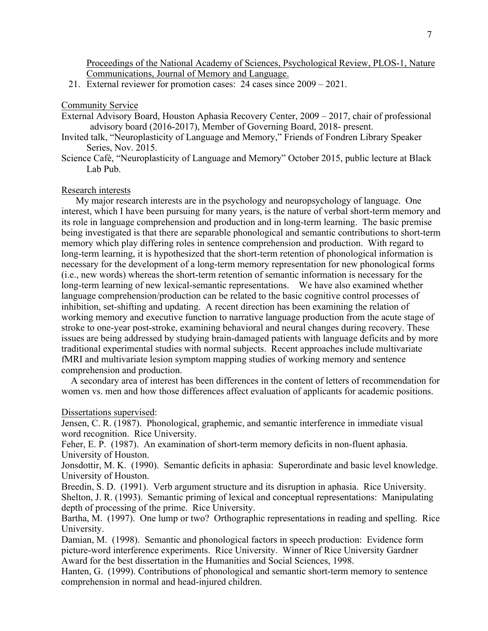Proceedings of the National Academy of Sciences, Psychological Review, PLOS-1, Nature Communications, Journal of Memory and Language.

21. External reviewer for promotion cases: 24 cases since 2009 – 2021.

#### Community Service

- advisory board (2016-2017), Member of Governing Board, 2018- present. External Advisory Board, Houston Aphasia Recovery Center, 2009 – 2017, chair of professional
- Invited talk, "Neuroplasticity of Language and Memory," Friends of Fondren Library Speaker Series, Nov. 2015.
- Science Café, "Neuroplasticity of Language and Memory" October 2015, public lecture at Black Lab Pub.

### Research interests

 long-term learning of new lexical-semantic representations. We have also examined whether language comprehension/production can be related to the basic cognitive control processes of traditional experimental studies with normal subjects. Recent approaches include multivariate My major research interests are in the psychology and neuropsychology of language. One interest, which I have been pursuing for many years, is the nature of verbal short-term memory and its role in language comprehension and production and in long-term learning. The basic premise being investigated is that there are separable phonological and semantic contributions to short-term memory which play differing roles in sentence comprehension and production. With regard to long-term learning, it is hypothesized that the short-term retention of phonological information is necessary for the development of a long-term memory representation for new phonological forms (i.e., new words) whereas the short-term retention of semantic information is necessary for the inhibition, set-shifting and updating. A recent direction has been examining the relation of working memory and executive function to narrative language production from the acute stage of stroke to one-year post-stroke, examining behavioral and neural changes during recovery. These issues are being addressed by studying brain-damaged patients with language deficits and by more fMRI and multivariate lesion symptom mapping studies of working memory and sentence comprehension and production.

A secondary area of interest has been differences in the content of letters of recommendation for women vs. men and how those differences affect evaluation of applicants for academic positions.

### Dissertations supervised:

Jensen, C. R. (1987). Phonological, graphemic, and semantic interference in immediate visual word recognition. Rice University.

Feher, E. P. (1987). An examination of short-term memory deficits in non-fluent aphasia. University of Houston.

Jonsdottir, M. K. (1990). Semantic deficits in aphasia: Superordinate and basic level knowledge. University of Houston.

Breedin, S. D. (1991). Verb argument structure and its disruption in aphasia. Rice University. Shelton, J. R. (1993). Semantic priming of lexical and conceptual representations: Manipulating depth of processing of the prime. Rice University.

Bartha, M. (1997). One lump or two? Orthographic representations in reading and spelling. Rice University.

 Damian, M. (1998). Semantic and phonological factors in speech production: Evidence form picture-word interference experiments. Rice University. Winner of Rice University Gardner Award for the best dissertation in the Humanities and Social Sciences, 1998.

Hanten, G. (1999). Contributions of phonological and semantic short-term memory to sentence comprehension in normal and head-injured children.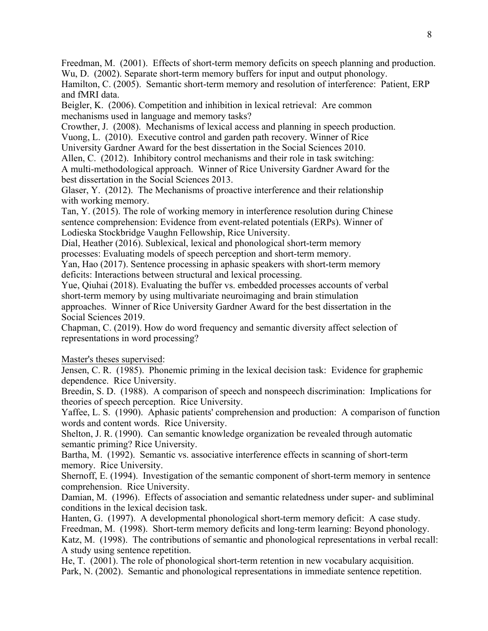Freedman, M. (2001). Effects of short-term memory deficits on speech planning and production. Wu, D. (2002). Separate short-term memory buffers for input and output phonology.

Hamilton, C. (2005). Semantic short-term memory and resolution of interference: Patient, ERP and fMRI data.

Beigler, K. (2006). Competition and inhibition in lexical retrieval: Are common mechanisms used in language and memory tasks?

Crowther, J. (2008). Mechanisms of lexical access and planning in speech production.

Vuong, L. (2010). Executive control and garden path recovery. Winner of Rice

University Gardner Award for the best dissertation in the Social Sciences 2010.

 A multi-methodological approach. Winner of Rice University Gardner Award for the best dissertation in the Social Sciences 2013. Allen, C. (2012). Inhibitory control mechanisms and their role in task switching:

Glaser, Y. (2012). The Mechanisms of proactive interference and their relationship with working memory.

Tan, Y. (2015). The role of working memory in interference resolution during Chinese sentence comprehension: Evidence from event-related potentials (ERPs). Winner of Lodieska Stockbridge Vaughn Fellowship, Rice University.

Dial, Heather (2016). Sublexical, lexical and phonological short-term memory

processes: Evaluating models of speech perception and short-term memory.

Yan, Hao (2017). Sentence processing in aphasic speakers with short-term memory deficits: Interactions between structural and lexical processing.

 Social Sciences 2019. Yue, Qiuhai (2018). Evaluating the buffer vs. embedded processes accounts of verbal short-term memory by using multivariate neuroimaging and brain stimulation approaches. Winner of Rice University Gardner Award for the best dissertation in the

 representations in word processing? Master's theses supervised: Chapman, C. (2019). How do word frequency and semantic diversity affect selection of

Master's theses supervised:

Jensen, C. R. (1985). Phonemic priming in the lexical decision task: Evidence for graphemic dependence. Rice University.

Breedin, S. D. (1988). A comparison of speech and nonspeech discrimination: Implications for theories of speech perception. Rice University.

Yaffee, L. S. (1990). Aphasic patients' comprehension and production: A comparison of function words and content words. Rice University.

Shelton, J. R. (1990). Can semantic knowledge organization be revealed through automatic semantic priming? Rice University.

Bartha, M. (1992). Semantic vs. associative interference effects in scanning of short-term memory. Rice University.

Shernoff, E. (1994). Investigation of the semantic component of short-term memory in sentence comprehension. Rice University.

Damian, M. (1996). Effects of association and semantic relatedness under super- and subliminal conditions in the lexical decision task.

 Katz, M. (1998). The contributions of semantic and phonological representations in verbal recall: Hanten, G. (1997). A developmental phonological short-term memory deficit: A case study. Freedman, M. (1998). Short-term memory deficits and long-term learning: Beyond phonology. A study using sentence repetition.

He, T. (2001). The role of phonological short-term retention in new vocabulary acquisition. Park, N. (2002). Semantic and phonological representations in immediate sentence repetition.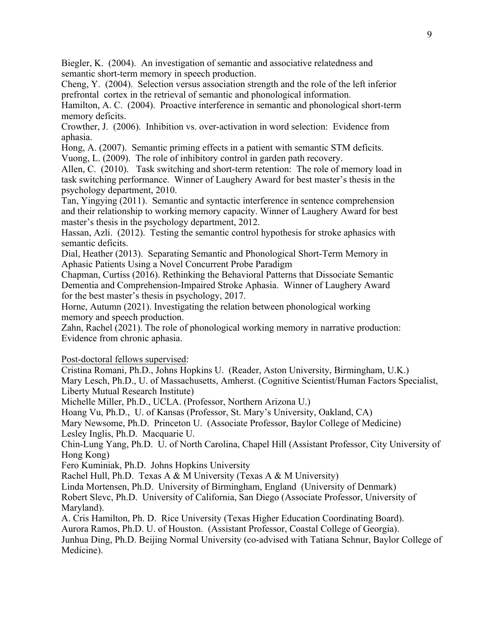Biegler, K. (2004). An investigation of semantic and associative relatedness and semantic short-term memory in speech production.

Cheng, Y. (2004). Selection versus association strength and the role of the left inferior prefrontal cortex in the retrieval of semantic and phonological information.

Hamilton, A. C. (2004). Proactive interference in semantic and phonological short-term memory deficits.

Crowther, J. (2006). Inhibition vs. over-activation in word selection: Evidence from aphasia.

Hong, A. (2007). Semantic priming effects in a patient with semantic STM deficits.

Vuong, L. (2009). The role of inhibitory control in garden path recovery.

 task switching performance. Winner of Laughery Award for best master's thesis in the Allen, C. (2010). Task switching and short-term retention: The role of memory load in psychology department, 2010.

Tan, Yingying (2011). Semantic and syntactic interference in sentence comprehension and their relationship to working memory capacity. Winner of Laughery Award for best master's thesis in the psychology department, 2012.

Hassan, Azli. (2012). Testing the semantic control hypothesis for stroke aphasics with semantic deficits.

Dial, Heather (2013). Separating Semantic and Phonological Short-Term Memory in Aphasic Patients Using a Novel Concurrent Probe Paradigm

Chapman, Curtiss (2016). Rethinking the Behavioral Patterns that Dissociate Semantic Dementia and Comprehension-Impaired Stroke Aphasia. Winner of Laughery Award for the best master's thesis in psychology, 2017.

Horne, Autumn (2021). Investigating the relation between phonological working memory and speech production.

Zahn, Rachel (2021). The role of phonological working memory in narrative production: Evidence from chronic aphasia.

Post-doctoral fellows supervised:

Cristina Romani, Ph.D., Johns Hopkins U. (Reader, Aston University, Birmingham, U.K.) Mary Lesch, Ph.D., U. of Massachusetts, Amherst. (Cognitive Scientist/Human Factors Specialist, Liberty Mutual Research Institute)

Michelle Miller, Ph.D., UCLA. (Professor, Northern Arizona U.)

Hoang Vu, Ph.D., U. of Kansas (Professor, St. Mary's University, Oakland, CA)

Mary Newsome, Ph.D. Princeton U. (Associate Professor, Baylor College of Medicine) Lesley Inglis, Ph.D. Macquarie U.

Chin-Lung Yang, Ph.D. U. of North Carolina, Chapel Hill (Assistant Professor, City University of Hong Kong)

Fero Kuminiak, Ph.D. Johns Hopkins University

Rachel Hull, Ph.D. Texas A & M University (Texas A & M University)

Linda Mortensen, Ph.D. University of Birmingham, England (University of Denmark)

Robert Slevc, Ph.D. University of California, San Diego (Associate Professor, University of Maryland).

A. Cris Hamilton, Ph. D. Rice University (Texas Higher Education Coordinating Board).

Aurora Ramos, Ph.D. U. of Houston. (Assistant Professor, Coastal College of Georgia).

Junhua Ding, Ph.D. Beijing Normal University (co-advised with Tatiana Schnur, Baylor College of Medicine).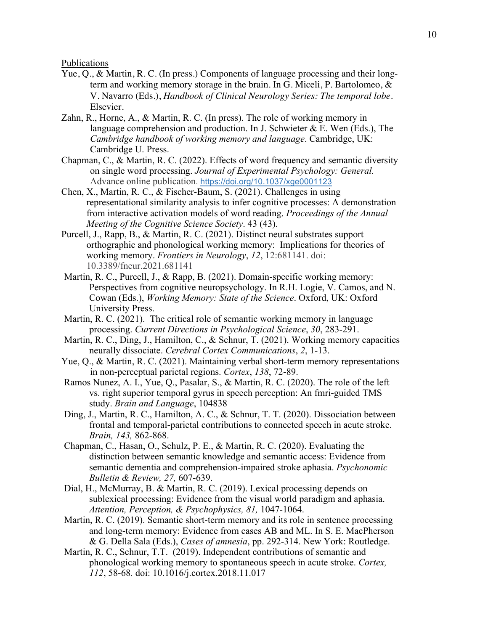Publications

- Yue, Q., & Martin, R. C. (In press.) Components of language processing and their longterm and working memory storage in the brain. In G. Miceli, P. Bartolomeo, & V. Navarro (Eds.), *Handbook of Clinical Neurology Series: The temporal lobe*. Elsevier.
- Zahn, R., Horne, A., & Martin, R. C. (In press). The role of working memory in language comprehension and production. In J. Schwieter  $\&$  E. Wen (Eds.), The *Cambridge handbook of working memory and language*. Cambridge, UK: Cambridge U. Press.
- Chapman, C., & Martin, R. C. (2022). Effects of word frequency and semantic diversity on single word processing. *Journal of Experimental Psychology: General.*  Advance online publication. <https://doi.org/10.1037/xge0001123>
- from interactive activation models of word reading. *Proceedings of the Annual*  Chen, X., Martin, R. C., & Fischer-Baum, S. (2021). Challenges in using representational similarity analysis to infer cognitive processes: A demonstration *Meeting of the Cognitive Science Society*. 43 (43).
- Purcell, J., Rapp, B., & Martin, R. C. (2021). Distinct neural substrates support orthographic and phonological working memory: Implications for theories of working memory. *Frontiers in Neurology*, *12*, 12:681141. doi: 10.3389/fneur.2021.681141
- Martin, R. C., Purcell, J., & Rapp, B. (2021). Domain-specific working memory: Perspectives from cognitive neuropsychology. In R.H. Logie, V. Camos, and N. Cowan (Eds.), *Working Memory: State of the Science*. Oxford, UK: Oxford University Press.
- Martin, R. C. (2021). The critical role of semantic working memory in language processing. *Current Directions in Psychological Science*, *30*, 283-291.
- Martin, R. C., Ding, J., Hamilton, C., & Schnur, T. (2021). Working memory capacities neurally dissociate. *Cerebral Cortex Communications*, *2*, 1-13.
- Yue, Q., & Martin, R. C. (2021). Maintaining verbal short-term memory representations in non-perceptual parietal regions. *Cortex*, *138*, 72-89.
- study. *Brain and Language*, 104838 Ramos Nunez, A. I., Yue, Q., Pasalar, S., & Martin, R. C. (2020). The role of the left vs. right superior temporal gyrus in speech perception: An fmri-guided TMS
- Ding, J., Martin, R. C., Hamilton, A. C., & Schnur, T. T. (2020). Dissociation between frontal and temporal-parietal contributions to connected speech in acute stroke. *Brain, 143,* 862-868.
- Chapman, C., Hasan, O., Schulz, P. E., & Martin, R. C. (2020). Evaluating the distinction between semantic knowledge and semantic access: Evidence from semantic dementia and comprehension-impaired stroke aphasia. *Psychonomic Bulletin & Review, 27,* 607-639.
- Dial, H., McMurray, B. & Martin, R. C. (2019). Lexical processing depends on sublexical processing: Evidence from the visual world paradigm and aphasia. *Attention, Perception, & Psychophysics, 81,* 1047-1064.
- Martin, R. C. (2019). Semantic short-term memory and its role in sentence processing and long-term memory: Evidence from cases AB and ML. In S. E. MacPherson & G. Della Sala (Eds.), *Cases of amnesia*, pp. 292-314. New York: Routledge.
- Martin, R. C., Schnur, T.T. (2019). Independent contributions of semantic and phonological working memory to spontaneous speech in acute stroke. *Cortex, 112*, 58-68*.* doi: 10.1016/j.cortex.2018.11.017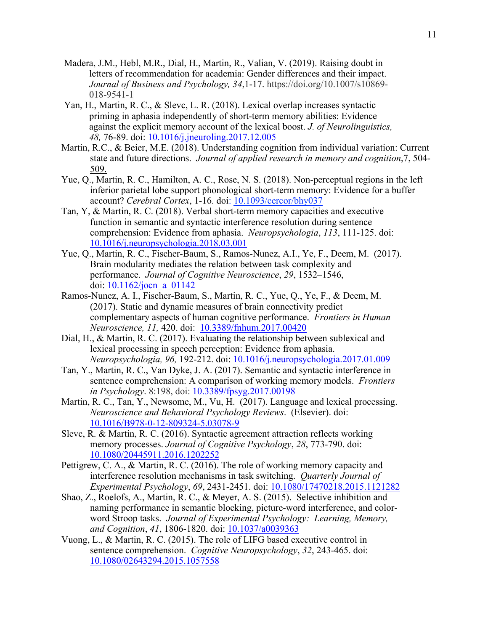- Madera, J.M., Hebl, M.R., Dial, H., Martin, R., Valian, V. (2019). Raising doubt in letters of recommendation for academia: Gender differences and their impact. *Journal of Business and Psychology, 34*,1-17. [https://doi.org/10.1007/s10869-](https://doi.org/10.1007/s10869) 018-9541-1
- Yan, H., Martin, R. C., & Slevc, L. R. (2018). Lexical overlap increases syntactic priming in aphasia independently of short-term memory abilities: Evidence against the explicit memory account of the lexical boost. *J. of Neurolinguistics, 48,* 76-89. doi: 10.1016/j.jneuroling.2017.12.005
- Martin, R.C., & Beier, M.E. (2018). Understanding cognition from individual variation: Current state and future directions. *Journal of applied research in memory and cognition*,7, 504- 509.
- Yue, Q., Martin, R. C., Hamilton, A. C., Rose, N. S. (2018). Non-perceptual regions in the left inferior parietal lobe support phonological short-term memory: Evidence for a buffer account? *Cerebral Cortex*, 1-16. doi: 10.1093/cercor/bhy037
- Tan, Y, & Martin, R. C. (2018). Verbal short-term memory capacities and executive function in semantic and syntactic interference resolution during sentence comprehension: Evidence from aphasia. *Neuropsychologia*, *113*, 111-125. doi: 10.1016/j.neuropsychologia.2018.03.001
- Yue, Q., Martin, R. C., Fischer-Baum, S., Ramos-Nunez, A.I., Ye, F., Deem, M. (2017). Brain modularity mediates the relation between task complexity and performance. *Journal of Cognitive Neuroscience*, *29*, 1532–1546, doi: 10.1162/jocn\_a\_01142
- *Neuroscience, 11,* 420. doi: 10.3389/fnhum.2017.00420 Ramos-Nunez, A. I., Fischer-Baum, S., Martin, R. C., Yue, Q., Ye, F., & Deem, M. (2017). Static and dynamic measures of brain connectivity predict complementary aspects of human cognitive performance. *Frontiers in Human*
- *Neuropsychologia, 96,* 192-212. doi: 10.1016/j.neuropsychologia.2017.01.009 Dial, H., & Martin, R. C. (2017). Evaluating the relationship between sublexical and lexical processing in speech perception: Evidence from aphasia.
- Tan, Y., Martin, R. C., Van Dyke, J. A. (2017). Semantic and syntactic interference in sentence comprehension: A comparison of working memory models. *Frontiers in Psychology*. 8:198, doi: 10.3389/fpsyg.2017.00198
- *Neuroscience and Behavioral Psychology Reviews*. (Elsevier). doi: Martin, R. C., Tan, Y., Newsome, M., Vu, H. (2017). Language and lexical processing. 10.1016/B978-0-12-809324-5.03078-9
- memory processes. *Journal of Cognitive Psychology*, *28*, 773-790. doi: Slevc, R. & Martin, R. C. (2016). Syntactic agreement attraction reflects working 10.1080/20445911.2016.1202252
- *Experimental Psychology*, *69*, 2431-2451. doi: 10.1080/17470218.2015.1121282 Pettigrew, C. A., & Martin, R. C. (2016). The role of working memory capacity and interference resolution mechanisms in task switching. *Quarterly Journal of*
- and Cognition, 41, 1806-1820. doi: 10.1037/a0039363 Shao, Z., Roelofs, A., Martin, R. C., & Meyer, A. S. (2015). Selective inhibition and naming performance in semantic blocking, picture-word interference, and colorword Stroop tasks. *Journal of Experimental Psychology: Learning, Memory,*
- sentence comprehension. *Cognitive Neuropsychology*, *32*, 243-465. doi: Vuong, L., & Martin, R. C. (2015). The role of LIFG based executive control in 10.1080/02643294.2015.1057558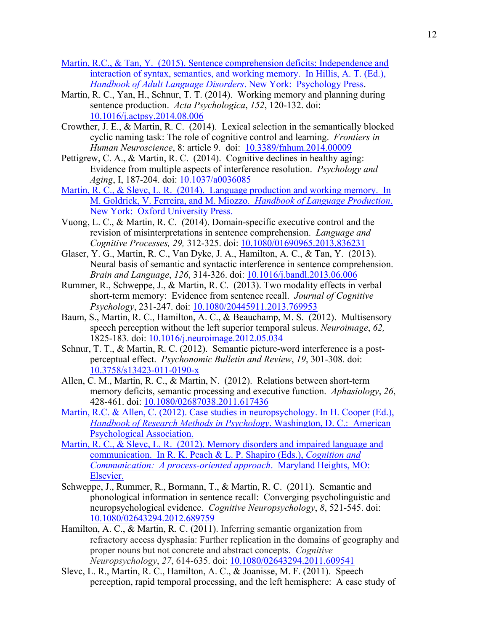- Martin, R.C., & Tan, Y. (2015). Sentence comprehension deficits: Independence and interaction of syntax, semantics, and working memory. In Hillis, A. T. (Ed.), *Handbook of Adult Language Disorders*. New York: Psychology Press.
- sentence production. *Acta Psychologica*, *152*, 120-132. doi: Martin, R. C., Yan, H., Schnur, T. T. (2014). Working memory and planning during 10.1016/j.actpsy.2014.08.006
- *Human Neuroscience*, 8: article 9. doi: 10.3389/fnhum.2014.00009 Crowther, J. E., & Martin, R. C. (2014). Lexical selection in the semantically blocked cyclic naming task: The role of cognitive control and learning. *Frontiers in*
- Pettigrew, C. A., & Martin, R. C.  $(2014)$ . Cognitive declines in healthy aging: *Aging*, I, 187-204. doi:  $\frac{10.1037}{a0036085}$ Evidence from multiple aspects of interference resolution. *Psychology and*
- Martin, R. C., & Slevc, L. R. (2014). Language production and working memory. In M. Goldrick, V. Ferreira, and M. Miozzo. *Handbook of Language Production*. New York: Oxford University Press.
- *Cognitive Processes, 29,* 312-325. doi: 10.1080/01690965.2013.836231 Vuong, L. C., & Martin, R. C. (2014). Domain-specific executive control and the revision of misinterpretations in sentence comprehension. *Language and*
- *Brain and Language*, *126*, 314-326. doi: 10.1016/j.bandl.2013.06.006 Glaser, Y. G., Martin, R. C., Van Dyke, J. A., Hamilton, A. C., & Tan, Y. (2013). Neural basis of semantic and syntactic interference in sentence comprehension.
- *Psychology*, 231-247. doi: 10.1080/20445911.2013.769953 Rummer, R., Schweppe, J., & Martin, R. C. (2013). Two modality effects in verbal short-term memory: Evidence from sentence recall. *Journal of Cognitive*
- 1825-183. doi: 10.1016/j.neuroimage.2012.05.034 Baum, S., Martin, R. C., Hamilton, A. C., & Beauchamp, M. S. (2012). Multisensory speech perception without the left superior temporal sulcus. *Neuroimage*, *62,*
- Schnur, T. T., & Martin, R. C. (2012). Semantic picture-word interference is a post- perceptual effect. *Psychonomic Bulletin and Review*, *19*, 301-308*.* doi: 10.3758/s13423-011-0190-x
- 428-461. doi: 10.1080/02687038.2011.617436 Allen, C. M., Martin, R. C., & Martin, N. (2012). Relations between short-term memory deficits, semantic processing and executive function. *Aphasiology*, *26*,
- **Psychological Association.** Martin, R.C. & Allen, C. (2012). Case studies in neuropsychology. In H. Cooper (Ed.), *Handbook of Research Methods in Psychology*. Washington, D. C.: American
- Martin, R. C., & Slevc, L. R. (2012). Memory disorders and impaired language and communication. In R. K. Peach & L. P. Shapiro (Eds.), *Cognition and Communication: A process-oriented approach*. Maryland Heights, MO: Elsevier.
- neuropsychological evidence. *Cognitive Neuropsychology*, *8*, 521-545. doi: Schweppe, J., Rummer, R., Bormann, T., & Martin, R. C. (2011). Semantic and phonological information in sentence recall: Converging psycholinguistic and 10.1080/02643294.2012.689759
- *Neuropsychology*, *27*, 614-635. doi: 10.1080/02643294.2011.609541 Hamilton, A. C., & Martin, R. C. (2011). Inferring semantic organization from refractory access dysphasia: Further replication in the domains of geography and proper nouns but not concrete and abstract concepts. *Cognitive*
- Slevc, L. R., Martin, R. C., Hamilton, A. C., & Joanisse, M. F. (2011). Speech perception, rapid temporal processing, and the left hemisphere: A case study of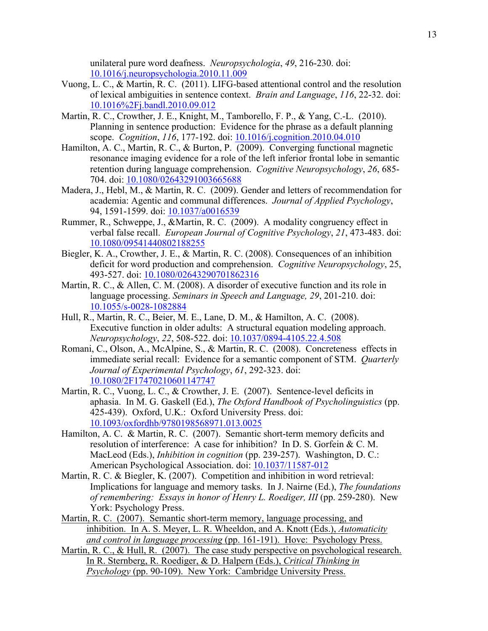unilateral pure word deafness. *Neuropsychologia*, *49*, 216-230. doi: 10.1016/j.neuropsychologia.2010.11.009

- of lexical ambiguities in sentence context. *Brain and Language*, *116*, 22-32. doi: 10.1016%2Fj.bandl.2010.09.012 Vuong, L. C., & Martin, R. C. (2011). LIFG-based attentional control and the resolution
- scope. *Cognition*, *116*, 177-192. doi: 10.1016/j.cognition.2010.04.010 Martin, R. C., Crowther, J. E., Knight, M., Tamborello, F. P., & Yang, C.-L. (2010). Planning in sentence production: Evidence for the phrase as a default planning
- 704. doi: 10.1080/02643291003665688 Hamilton, A. C., Martin, R. C., & Burton, P. (2009). Converging functional magnetic resonance imaging evidence for a role of the left inferior frontal lobe in semantic retention during language comprehension. *Cognitive Neuropsychology*, *26*, 685-
- 94, 1591-1599. doi: 10.1037/a0016539 Madera, J., Hebl, M., & Martin, R. C. (2009). Gender and letters of recommendation for academia: Agentic and communal differences. *Journal of Applied Psychology*,
- Rummer, R., Schweppe, J., &Martin, R. C. (2009). A modality congruency effect in verbal false recall. *European Journal of Cognitive Psychology*, *21*, 473-483. doi: 10.1080/09541440802188255
- 493-527. doi: 10.1080/02643290701862316 Biegler, K. A., Crowther, J. E., & Martin, R. C. (2008). Consequences of an inhibition deficit for word production and comprehension. *Cognitive Neuropsychology*, 25,
- language processing. *Seminars in Speech and Language, 29*, 201-210. doi: Martin, R. C., & Allen, C. M. (2008). A disorder of executive function and its role in 10.1055/s-0028-1082884
- *Neuropsychology*, *22*, 508-522. doi: 10.1037/0894-4105.22.4.508 Hull, R., Martin, R. C., Beier, M. E., Lane, D. M., & Hamilton, A. C. (2008). Executive function in older adults: A structural equation modeling approach.
- Romani, C., Olson, A., McAlpine, S., & Martin, R. C. (2008). Concreteness effects in *Journal of Experimental Psychology*, *61*, 292-323. doi: immediate serial recall: Evidence for a semantic component of STM. *Quarterly*  10.1080/2F17470210601147747
- 425-439). Oxford, U.K.: Oxford University Press. doi: Martin, R. C., Vuong, L. C., & Crowther, J. E. (2007). Sentence-level deficits in aphasia. In M. G. Gaskell (Ed.), *The Oxford Handbook of Psycholinguistics* (pp. 10.1093/oxfordhb/9780198568971.013.0025
- MacLeod (Eds.), *Inhibition in cognition* (pp. 239-257). Washington, D. C.: American Psychological Association. doi:  $\underline{10.1037/11587-012}$ American Psychological Association. doi: 10.1037/11587-012 Hamilton, A. C. & Martin, R. C. (2007). Semantic short-term memory deficits and resolution of interference: A case for inhibition? In D. S. Gorfein & C. M.
- Martin, R. C. & Biegler, K. (2007). Competition and inhibition in word retrieval: Implications for language and memory tasks. In J. Nairne (Ed.), *The foundations of remembering: Essays in honor of Henry L. Roediger, III* (pp. 259-280). New York: Psychology Press.
- Martin, R. C. (2007). Semantic short-term memory, language processing, and inhibition. In A. S. Meyer, L. R. Wheeldon, and A. Knott (Eds.), *Automaticity and control in language processing* (pp. 161-191). Hove: Psychology Press.
- Martin, R. C., & Hull, R. (2007). The case study perspective on psychological research. In R. Sternberg, R. Roediger, & D. Halpern (Eds.), *Critical Thinking in Psychology* (pp. 90-109). New York: Cambridge University Press.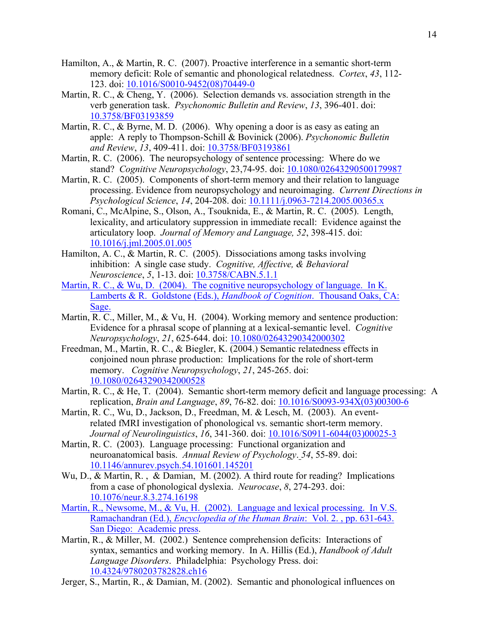- Hamilton, A., & Martin, R. C. (2007). Proactive interference in a semantic short-term memory deficit: Role of semantic and phonological relatedness. *Cortex*, *43*, 112- 123. doi: 10.1016/S0010-9452(08)70449-0
- verb generation task. *Psychonomic Bulletin and Review*, *13*, 396-401. doi: Martin, R. C., & Cheng, Y. (2006). Selection demands vs. association strength in the 10.3758/BF03193859
- *and Review*, *13*, 409-411. doi: 10.3758/BF03193861 Martin, R. C., & Byrne, M. D. (2006). Why opening a door is as easy as eating an apple: A reply to Thompson-Schill & Bovinick (2006). *Psychonomic Bulletin*
- stand? *Cognitive Neuropsychology*, 23,74-95. doi: 10.1080/02643290500179987 Martin, R. C. (2006). The neuropsychology of sentence processing: Where do we
- *Psychological Science*, *14*, 204-208. doi: 10.1111/j.0963-7214.2005.00365.x Martin, R. C. (2005). Components of short-term memory and their relation to language processing. Evidence from neuropsychology and neuroimaging. *Current Directions in*
- articulatory loop. *Journal of Memory and Language, 52*, 398-415. doi: Romani, C., McAlpine, S., Olson, A., Tsouknida, E., & Martin, R. C. (2005). Length, lexicality, and articulatory suppression in immediate recall: Evidence against the 10.1016/j.jml.2005.01.005
- inhibition: A single case study. *Cognitive, Affective, & Behavioral Neuroscience*, *5*, 1-13. doi: 10.3758/CABN.5.1.1 Hamilton, A. C., & Martin, R. C. (2005). Dissociations among tasks involving
- Martin, R. C., & Wu, D. (2004). The cognitive neuropsychology of language. In K. Lamberts & R. Goldstone (Eds.), *Handbook of Cognition*. Thousand Oaks, CA: Sage.
- Martin, R. C., Miller, M., & Vu, H. (2004). Working memory and sentence production: Evidence for a phrasal scope of planning at a lexical-semantic level. *Cognitive Neuropsychology*, *21*, 625-644. doi: 10.1080/02643290342000302
- Freedman, M., Martin, R. C., & Biegler, K. (2004.) Semantic relatedness effects in conjoined noun phrase production: Implications for the role of short-term memory. *Cognitive Neuropsychology*, *21*, 245-265. doi: 10.1080/02643290342000528
- replication, *Brain and Language*, *89*, 76-82. doi: 10.1016/S0093-934X(03)00300-6 Martin, R. C., & He, T. (2004). Semantic short-term memory deficit and language processing: A
- *Journal of Neurolinguistics*, *16*, 341-360. doi: 10.1016/S0911-6044(03)00025-3 Martin, R. C., Wu, D., Jackson, D., Freedman, M. & Lesch, M. (2003). An eventrelated fMRI investigation of phonological vs. semantic short-term memory.
- Martin, R. C. (2003). Language processing: Functional organization and neuroanatomical basis. *Annual Review of Psychology*. *54*, 55-89. doi: 10.1146/annurev.psych.54.101601.145201
- from a case of phonological dyslexia. *Neurocase*, *8*, 274-293. doi: Wu, D., & Martin, R. , & Damian, M. (2002). A third route for reading? Implications 10.1076/neur.8.3.274.16198
- Martin, R., Newsome, M., & Vu, H. (2002). Language and lexical processing. In V.S. Ramachandran (Ed.), *Encyclopedia of the Human Brain*: Vol. 2. , pp. 631-643. San Diego: Academic press.
- *Language Disorders*. Philadelphia: Psychology Press. doi: Martin, R., & Miller, M. (2002.) Sentence comprehension deficits: Interactions of syntax, semantics and working memory. In A. Hillis (Ed.), *Handbook of Adult*  10.4324/9780203782828.ch16
- Jerger, S., Martin, R., & Damian, M. (2002). Semantic and phonological influences on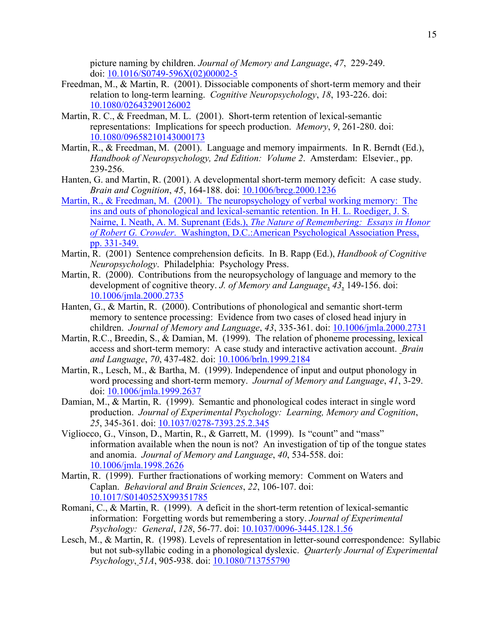picture naming by children. *Journal of Memory and Language*, *47*, 229-249. doi: 10.1016/S0749-596X(02)00002-5

- relation to long-term learning. *Cognitive Neuropsychology*, *18*, 193-226. doi: Freedman, M., & Martin, R. (2001). Dissociable components of short-term memory and their 10.1080/02643290126002
- Martin, R. C., & Freedman, M. L. (2001). Short-term retention of lexical-semantic representations: Implications for speech production. *Memory*, *9*, 261-280. doi: 10.1080/09658210143000173
- Martin, R., & Freedman, M. (2001). Language and memory impairments. In R. Berndt (Ed.), *Handbook of Neuropsychology, 2nd Edition: Volume 2*. Amsterdam: Elsevier., pp. 239-256.
- Hanten, G. and Martin, R. (2001). A developmental short-term memory deficit: A case study. *Brain and Cognition*, *45*, 164-188. doi: 10.1006/brcg.2000.1236
- Martin, R., & Freedman, M. (2001). The neuropsychology of verbal working memory: The ins and outs of phonological and lexical-semantic retention. In H. L. Roediger, J. S. Nairne, I. Neath, A. M. Suprenant (Eds.), *The Nature of Remembering: Essays in Honor of Robert G. Crowder*. Washington, D.C.:American Psychological Association Press, pp. 331-349.
- Martin, R. (2001) Sentence comprehension deficits. In B. Rapp (Ed.), *Handbook of Cognitive Neuropsychology*. Philadelphia: Psychology Press.
- development of cognitive theory. *J. of Memory and Language*, *43*, 149-156. doi: Martin, R. (2000). Contributions from the neuropsychology of language and memory to the 10.1006/jmla.2000.2735
- children. *Journal of Memory and Language*, *43*, 335-361. doi: 10.1006/jmla.2000.2731 Hanten, G., & Martin, R. (2000). Contributions of phonological and semantic short-term memory to sentence processing: Evidence from two cases of closed head injury in
- *and Language*, *70*, 437-482. doi: 10.1006/brln.1999.2184 Martin, R.C., Breedin, S., & Damian, M. (1999). The relation of phoneme processing, lexical access and short-term memory: A case study and interactive activation account. *Brain*
- Martin, R., Lesch, M., & Bartha, M. (1999). Independence of input and output phonology in word processing and short-term memory. *Journal of Memory and Language*, *41*, 3-29. doi: 10.1006/jmla.1999.2637
- *25*, 345-361. doi: 10.1037/0278-7393.25.2.345 Damian, M., & Martin, R. (1999). Semantic and phonological codes interact in single word production. *Journal of Experimental Psychology: Learning, Memory and Cognition*,
- and anomia. *Journal of Memory and Language*, *40*, 534-558. doi: Vigliocco, G., Vinson, D., Martin, R., & Garrett, M. (1999). Is "count" and "mass" information available when the noun is not? An investigation of tip of the tongue states 10.1006/jmla.1998.2626
- Martin, R. (1999). Further fractionations of working memory: Comment on Waters and Caplan. *Behavioral and Brain Sciences*, *22*, 106-107. doi: 10.1017/S0140525X99351785
- *Psychology: General*, *128*, 56-77. doi: [10.1037/0096-3445.128.1.56](https://10.1037/0096-3445.128.1.56)  Romani, C., & Martin, R. (1999). A deficit in the short-term retention of lexical-semantic information: Forgetting words but remembering a story. *Journal of Experimental*
- *Psychology*, *51A*, 905-938. doi: 10.1080/713755790 Lesch, M., & Martin, R. (1998). Levels of representation in letter-sound correspondence: Syllabic but not sub-syllabic coding in a phonological dyslexic. *Quarterly Journal of Experimental*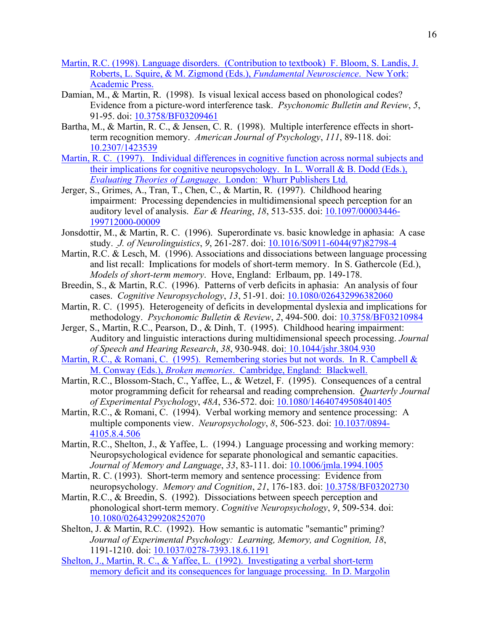- Martin, R.C. (1998). Language disorders. (Contribution to textbook) F. Bloom, S. Landis, J. Roberts, L. Squire, & M. Zigmond (Eds.), *Fundamental Neuroscience*. New York: Academic Press.
- Damian, M., & Martin, R. (1998). Is visual lexical access based on phonological codes? Evidence from a picture-word interference task. *Psychonomic Bulletin and Review*, *5*, 91-95. doi: 10.3758/BF03209461
- term recognition memory. *American Journal of Psychology*, *111*, 89-118. doi: Bartha, M., & Martin, R. C., & Jensen, C. R. (1998). Multiple interference effects in short-10.2307/1423539
- Martin, R. C. (1997). Individual differences in cognitive function across normal subjects and their implications for cognitive neuropsychology. In L. Worrall & B. Dodd (Eds.), *Evaluating Theories of Language*. London: Whurr Publishers Ltd.
- auditory level of analysis. *Ear & Hearing*, *18*, 513-535. doi: 10.1097/00003446- Jerger, S., Grimes, A., Tran, T., Chen, C., & Martin, R. (1997). Childhood hearing impairment: Processing dependencies in multidimensional speech perception for an 199712000-00009
- Jonsdottir, M., & Martin, R. C. (1996). Superordinate vs. basic knowledge in aphasia: A case study. *J. of Neurolinguistics*, *9*, 261-287. doi: 10.1016/S0911-6044(97)82798-4
- Martin, R.C. & Lesch, M. (1996). Associations and dissociations between language processing and list recall: Implications for models of short-term memory. In S. Gathercole (Ed.), *Models of short-term memory*. Hove, England: Erlbaum, pp. 149-178.
- cases. *Cognitive Neuropsychology*, *13*, 51-91. doi: 10.1080/026432996382060 Breedin, S., & Martin, R.C. (1996). Patterns of verb deficits in aphasia: An analysis of four
- Martin, R. C. (1995). Heterogeneity of deficits in developmental dyslexia and implications for methodology. *Psychonomic Bulletin & Review*, *2*, 494-500. doi: 10.3758/BF03210984
- Jerger, S., Martin, R.C., Pearson, D., & Dinh, T. (1995). Childhood hearing impairment: Auditory and linguistic interactions during multidimensional speech processing. *Journal of Speech and Hearing Research*, *38*, 930-948. doi: 10.1044/jshr.3804.930
- Martin, R.C., & Romani, C. (1995). Remembering stories but not words. In R. Campbell & M. Conway (Eds.), *Broken memories*. Cambridge, England: Blackwell.
- *of Experimental Psychology*, *48A*, 536-572. doi: 10.1080/14640749508401405 Martin, R.C., Blossom-Stach, C., Yaffee, L., & Wetzel, F. (1995). Consequences of a central motor programming deficit for rehearsal and reading comprehension. *Quarterly Journal*
- Martin, R.C., & Romani, C. (1994). Verbal working memory and sentence processing: A multiple components view. *Neuropsychology*, *8*, 506-523. doi: 10.1037/0894- 4105.8.4.506
- Martin, R.C., Shelton, J., & Yaffee, L. (1994.) Language processing and working memory: *Journal of Memory and Language*, *33*, 83-111. doi: 10.1006/jmla.1994.1005 Neuropsychological evidence for separate phonological and semantic capacities.
- neuropsychology. *Memory and Cognition*, *21*, 176-183. doi: 10.3758/BF03202730 Martin, R. C. (1993). Short-term memory and sentence processing: Evidence from
- phonological short-term memory. *Cognitive Neuropsychology*, *9*, 509-534. doi: Martin, R.C., & Breedin, S. (1992). Dissociations between speech perception and 10.1080/02643299208252070
- Shelton, J. & Martin, R.C. (1992). How semantic is automatic "semantic" priming? 1191-1210. doi: 10.1037/0278-7393.18.6.1191 *Journal of Experimental Psychology: Learning, Memory, and Cognition, 18*,
- Shelton, J., Martin, R. C., & Yaffee, L. (1992). Investigating a verbal short-term memory deficit and its consequences for language processing. In D. Margolin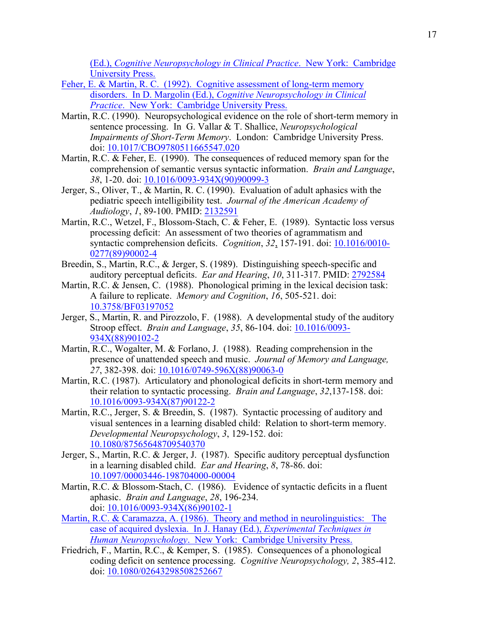(Ed.), *Cognitive Neuropsychology in Clinical Practice*. New York: Cambridge University Press.

- Feher, E. & Martin, R. C. (1992). Cognitive assessment of long-term memory disorders. In D. Margolin (Ed.), *Cognitive Neuropsychology in Clinical Practice*. New York: Cambridge University Press.
- Martin, R.C. (1990). Neuropsychological evidence on the role of short-term memory in sentence processing. In G. Vallar & T. Shallice, *Neuropsychological Impairments of Short-Term Memory*. London: Cambridge University Press. doi: 10.1017/CBO9780511665547.020
- *38*, 1-20. doi: 10.1016/0093-934X(90)90099-3 Martin, R.C. & Feher, E. (1990). The consequences of reduced memory span for the comprehension of semantic versus syntactic information. *Brain and Language*,
- *Audiology*, *1*, 89-100. PMID: 2132591 Jerger, S., Oliver, T., & Martin, R. C. (1990). Evaluation of adult aphasics with the pediatric speech intelligibility test. *Journal of the American Academy of*
- Martin, R.C., Wetzel, F., Blossom-Stach, C. & Feher, E. (1989). Syntactic loss versus processing deficit: An assessment of two theories of agrammatism and syntactic comprehension deficits. *Cognition*, 32, 157-191. doi: 10.1016/0010-0277(89)90002-4
- auditory perceptual deficits. *Ear and Hearing*, *10*, 311-317. PMID: 2792584 Breedin, S., Martin, R.C., & Jerger, S. (1989). Distinguishing speech-specific and
- Martin, R.C. & Jensen, C. (1988). Phonological priming in the lexical decision task: A failure to replicate. *Memory and Cognition*, *16*, 505-521. doi: A failure to replicate. Memory and Cognition, 16, 505-521. doi: 10.3758/BF03197052
- Stroop effect. *Brain and Language*, *35*, 86-104. doi: 10.1016/0093- Jerger, S., Martin, R. and Pirozzolo, F. (1988). A developmental study of the auditory 934X(88)90102-2
- 27, 382-398. doi:  $10.1016/0749 596X(88)90063 0$ Martin, R.C., Wogalter, M. & Forlano, J. (1988). Reading comprehension in the presence of unattended speech and music. *Journal of Memory and Language,*
- their relation to syntactic processing. *Brain and Language*, *32*,137-158. doi: Martin, R.C. (1987). Articulatory and phonological deficits in short-term memory and 10.1016/0093-934X(87)90122-2
- *Developmental Neuropsychology*, *3*, 129-152. doi: Martin, R.C., Jerger, S. & Breedin, S. (1987). Syntactic processing of auditory and visual sentences in a learning disabled child: Relation to short-term memory. 10.1080/87565648709540370
- Jerger, S., Martin, R.C. & Jerger, J. (1987). Specific auditory perceptual dysfunction in a learning disabled child. *Ear and Hearing*, *8*, 78-86. doi: 10.1097/00003446-198704000-00004
- aphasic. *Brain and Language*, *28*, 196-234. doi: 10.1016/0093-934X(86)90102-1 Martin, R.C. & Blossom-Stach, C. (1986). Evidence of syntactic deficits in a fluent
- Martin, R.C. & Caramazza, A. (1986). Theory and method in neurolinguistics: The case of acquired dyslexia. In J. Hanay (Ed.), *Experimental Techniques in Human Neuropsychology*. New York: Cambridge University Press.
- Friedrich, F., Martin, R.C., & Kemper, S. (1985). Consequences of a phonological coding deficit on sentence processing. *Cognitive Neuropsychology, 2*, 385-412. doi: 10.1080/02643298508252667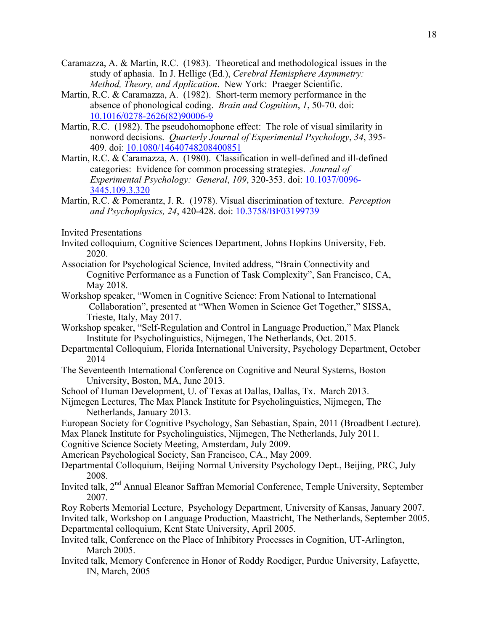- Caramazza, A. & Martin, R.C. (1983). Theoretical and methodological issues in the study of aphasia. In J. Hellige (Ed.), *Cerebral Hemisphere Asymmetry: Method, Theory, and Application*. New York: Praeger Scientific.
- absence of phonological coding. *Brain and Cognition*, *1*, 50-70. doi: Martin, R.C. & Caramazza, A. (1982). Short-term memory performance in the 10.1016/0278-2626(82)90006-9
- 409. doi: 10.1080/14640748208400851 Martin, R.C. (1982). The pseudohomophone effect: The role of visual similarity in nonword decisions. *Quarterly Journal of Experimental Psychology*, *34*, 395-
- *Experimental Psychology: General*, *109*, 320-353. doi: 10.1037/0096- Martin, R.C. & Caramazza, A. (1980). Classification in well-defined and ill-defined categories: Evidence for common processing strategies. *Journal of*  3445.109.3.320
- *and Psychophysics, 24*, 420-428. doi: 10.3758/BF03199739 Martin, R.C. & Pomerantz, J. R. (1978). Visual discrimination of texture. *Perception*

Invited Presentations

- Invited colloquium, Cognitive Sciences Department, Johns Hopkins University, Feb. 2020.
- Association for Psychological Science, Invited address, "Brain Connectivity and Cognitive Performance as a Function of Task Complexity", San Francisco, CA, May 2018.
- Workshop speaker, "Women in Cognitive Science: From National to International Collaboration", presented at "When Women in Science Get Together," SISSA, Trieste, Italy, May 2017.
- Workshop speaker, "Self-Regulation and Control in Language Production," Max Planck Institute for Psycholinguistics, Nijmegen, The Netherlands, Oct. 2015.
- Departmental Colloquium, Florida International University, Psychology Department, October 2014
- The Seventeenth International Conference on Cognitive and Neural Systems, Boston University, Boston, MA, June 2013.
- School of Human Development, U. of Texas at Dallas, Dallas, Tx. March 2013.
- Nijmegen Lectures, The Max Planck Institute for Psycholinguistics, Nijmegen, The Netherlands, January 2013.
- European Society for Cognitive Psychology, San Sebastian, Spain, 2011 (Broadbent Lecture).
- Max Planck Institute for Psycholinguistics, Nijmegen, The Netherlands, July 2011.
- Cognitive Science Society Meeting, Amsterdam, July 2009.
- American Psychological Society, San Francisco, CA., May 2009.
- Departmental Colloquium, Beijing Normal University Psychology Dept., Beijing, PRC, July 2008.
- Invited talk, 2nd Annual Eleanor Saffran Memorial Conference, Temple University, September 2007.

Roy Roberts Memorial Lecture, Psychology Department, University of Kansas, January 2007. Invited talk, Workshop on Language Production, Maastricht, The Netherlands, September 2005. Departmental colloquium, Kent State University, April 2005.

- Invited talk, Conference on the Place of Inhibitory Processes in Cognition, UT-Arlington, March 2005.
- Invited talk, Memory Conference in Honor of Roddy Roediger, Purdue University, Lafayette, IN, March, 2005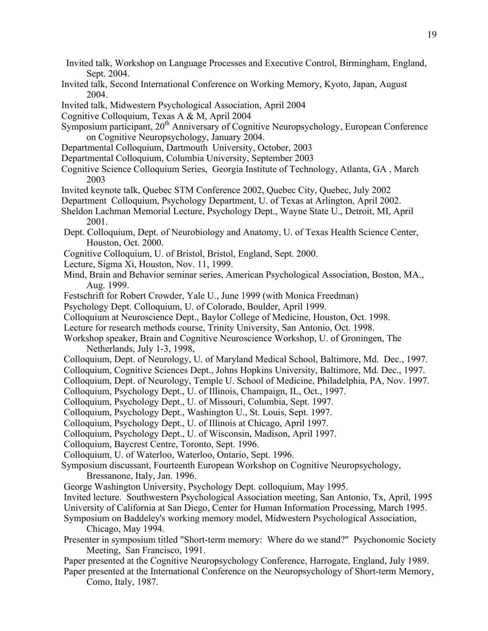- Invited talk, Workshop on Language Processes and Executive Control, Birmingham, England, Sept. 2004.
- Invited talk, Second International Conference on Working Memory, Kyoto, Japan, August 2004.
- Invited talk, Midwestern Psychological Association, April 2004
- Cognitive Colloquium, Texas A & M, April 2004
- Symposium participant, 20<sup>th</sup> Anniversary of Cognitive Neuropsychology, European Conference on Cognitive Neuropsychology, January 2004.
- Departmental Colloquium, Dartmouth University, October, 2003
- Departmental Colloquium, Columbia University, September 2003
- Cognitive Science Colloquium Series, Georgia Institute of Technology, Atlanta, GA , March 2003
- Invited keynote talk, Quebec STM Conference 2002, Quebec City, Quebec, July 2002
- Department Colloquium, Psychology Department, U. of Texas at Arlington, April 2002.
- Sheldon Lachman Memorial Lecture, Psychology Dept., Wayne State U., Detroit, MI, April 2001.
- Dept. Colloquium, Dept. of Neurobiology and Anatomy, U. of Texas Health Science Center, Houston, Oct. 2000.
- Cognitive Colloquium, U. of Bristol, Bristol, England, Sept. 2000.
- Lecture, Sigma Xi, Houston, Nov. 11, 1999.
- Mind, Brain and Behavior seminar series, American Psychological Association, Boston, MA., Aug. 1999.
- Festschrift for Robert Crowder, Yale U., June 1999 (with Monica Freedman)
- Psychology Dept. Colloquium, U. of Colorado, Boulder, April 1999.
- Colloquium at Neuroscience Dept., Baylor College of Medicine, Houston, Oct. 1998.
- Lecture for research methods course, Trinity University, San Antonio, Oct. 1998.
- Workshop speaker, Brain and Cognitive Neuroscience Workshop, U. of Groningen, The Netherlands, July 1-3, 1998,
- Colloquium, Dept. of Neurology, U. of Maryland Medical School, Baltimore, Md. Dec., 1997.
- Colloquium, Cognitive Sciences Dept., Johns Hopkins University, Baltimore, Md. Dec., 1997.
- Colloquium, Dept. of Neurology, Temple U. School of Medicine, Philadelphia, PA, Nov. 1997.
- Colloquium, Psychology Dept., U. of Illinois, Champaign, IL, Oct., 1997.
- Colloquium, Psychology Dept., U. of Missouri, Columbia, Sept. 1997.
- Colloquium, Psychology Dept., Washington U., St. Louis, Sept. 1997.
- Colloquium, Psychology Dept., U. of Illinois at Chicago, April 1997.
- Colloquium, Psychology Dept., U. of Wisconsin, Madison, April 1997.
- Colloquium, Baycrest Centre, Toronto, Sept. 1996.
- Colloquium, U. of Waterloo, Waterloo, Ontario, Sept. 1996.
- Symposium discussant, Fourteenth European Workshop on Cognitive Neuropsychology, Bressanone, Italy, Jan. 1996.
- George Washington University, Psychology Dept. colloquium, May 1995.
- Invited lecture. Southwestern Psychological Association meeting, San Antonio, Tx, April, 1995
- University of California at San Diego, Center for Human Information Processing, March 1995.
- Symposium on Baddeley's working memory model, Midwestern Psychological Association, Chicago, May 1994.
- Presenter in symposium titled "Short-term memory: Where do we stand?" Psychonomic Society Meeting, San Francisco, 1991.
- Paper presented at the Cognitive Neuropsychology Conference, Harrogate, England, July 1989.
- Paper presented at the International Conference on the Neuropsychology of Short-term Memory, Como, Italy, 1987.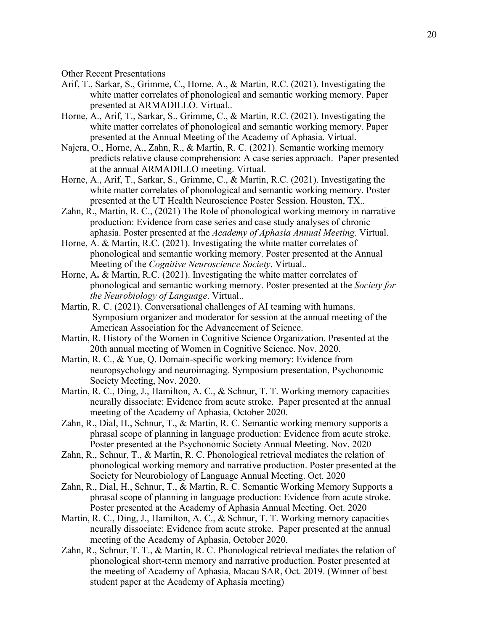Other Recent Presentations

- Arif, T., Sarkar, S., Grimme, C., Horne, A., & Martin, R.C. (2021). Investigating the white matter correlates of phonological and semantic working memory. Paper presented at ARMADILLO. Virtual..
- Horne, A., Arif, T., Sarkar, S., Grimme, C., & Martin, R.C. (2021). Investigating the white matter correlates of phonological and semantic working memory. Paper presented at the Annual Meeting of the Academy of Aphasia. Virtual.
- at the annual ARMADILLO meeting. Virtual. Najera, O., Horne, A., Zahn, R., & Martin, R. C. (2021). Semantic working memory predicts relative clause comprehension: A case series approach. Paper presented
- Horne, A., Arif, T., Sarkar, S., Grimme, C., & Martin, R.C. (2021). Investigating the white matter correlates of phonological and semantic working memory. Poster presented at the UT Health Neuroscience Poster Session. Houston, TX..
- Zahn, R., Martin, R. C., (2021) The Role of phonological working memory in narrative production: Evidence from case series and case study analyses of chronic aphasia. Poster presented at the *Academy of Aphasia Annual Meeting.* Virtual.
- Horne, A. & Martin, R.C. (2021). Investigating the white matter correlates of phonological and semantic working memory. Poster presented at the Annual Meeting of the *Cognitive Neuroscience Society*. Virtual..
- Horne, A**.** & Martin, R.C. (2021). Investigating the white matter correlates of phonological and semantic working memory. Poster presented at the *Society for the Neurobiology of Language*. Virtual..
- American Association for the Advancement of Science. Martin, R. C. (2021). Conversational challenges of AI teaming with humans. Symposium organizer and moderator for session at the annual meeting of the
- 20th annual meeting of Women in Cognitive Science. Nov. 2020. Martin, R. History of the Women in Cognitive Science Organization. Presented at the
- Society Meeting, Nov. 2020. Martin, R. C., & Yue, Q. Domain-specific working memory: Evidence from neuropsychology and neuroimaging. Symposium presentation, Psychonomic
- neurally dissociate: Evidence from acute stroke. Paper presented at the annual Martin, R. C., Ding, J., Hamilton, A. C., & Schnur, T. T. Working memory capacities meeting of the Academy of Aphasia, October 2020.
- Zahn, R., Dial, H., Schnur, T., & Martin, R. C. Semantic working memory supports a phrasal scope of planning in language production: Evidence from acute stroke. Poster presented at the Psychonomic Society Annual Meeting. Nov. 2020
- Zahn, R., Schnur, T., & Martin, R. C. Phonological retrieval mediates the relation of phonological working memory and narrative production. Poster presented at the Society for Neurobiology of Language Annual Meeting. Oct. 2020
- Zahn, R., Dial, H., Schnur, T., & Martin, R. C. Semantic Working Memory Supports a phrasal scope of planning in language production: Evidence from acute stroke. Poster presented at the Academy of Aphasia Annual Meeting. Oct. 2020
- Martin, R. C., Ding, J., Hamilton, A. C., & Schnur, T. T. Working memory capacities neurally dissociate: Evidence from acute stroke. Paper presented at the annual meeting of the Academy of Aphasia, October 2020.
- Zahn, R., Schnur, T. T., & Martin, R. C. Phonological retrieval mediates the relation of phonological short-term memory and narrative production. Poster presented at the meeting of Academy of Aphasia, Macau SAR, Oct. 2019. (Winner of best student paper at the Academy of Aphasia meeting)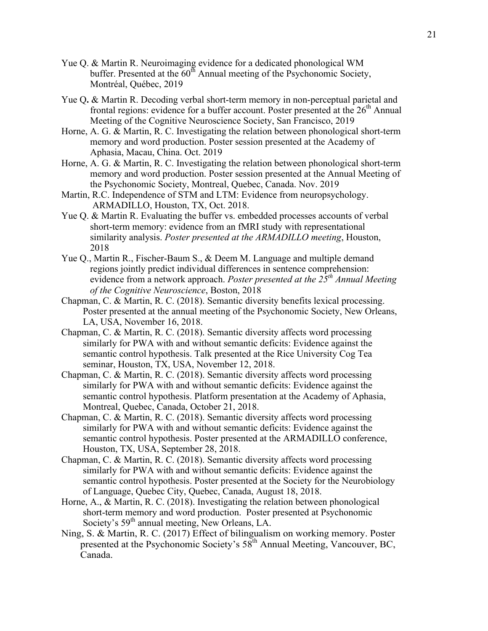- buffer. Presented at the  $60<sup>th</sup>$  Annual meeting of the Psychonomic Society, Yue Q. & Martin R. Neuroimaging evidence for a dedicated phonological WM Montréal, Québec, 2019
- frontal regions: evidence for a buffer account. Poster presented at the  $26<sup>th</sup>$  Annual Yue Q**.** & Martin R. Decoding verbal short-term memory in non-perceptual parietal and Meeting of the Cognitive Neuroscience Society, San Francisco, 2019
- Horne, A. G. & Martin, R. C. Investigating the relation between phonological short-term memory and word production. Poster session presented at the Academy of Aphasia, Macau, China. Oct. 2019
- Horne, A. G. & Martin, R. C. Investigating the relation between phonological short-term memory and word production. Poster session presented at the Annual Meeting of the Psychonomic Society, Montreal, Quebec, Canada. Nov. 2019
- Martin, R.C. Independence of STM and LTM: Evidence from neuropsychology. ARMADILLO, Houston, TX, Oct. 2018.
- Yue Q. & Martin R. Evaluating the buffer vs. embedded processes accounts of verbal short-term memory: evidence from an fMRI study with representational similarity analysis. *Poster presented at the ARMADILLO meeting*, Houston, 2018
- Yue Q., Martin R., Fischer-Baum S., & Deem M. Language and multiple demand regions jointly predict individual differences in sentence comprehension: evidence from a network approach. *Poster presented at the*  $25<sup>th</sup>$  *Annual Meeting of the Cognitive Neuroscience*, Boston, 2018
- Chapman, C. & Martin, R. C. (2018). Semantic diversity benefits lexical processing. Poster presented at the annual meeting of the Psychonomic Society, New Orleans. LA, USA, November 16, 2018.
- Chapman, C. & Martin, R. C. (2018). Semantic diversity affects word processing similarly for PWA with and without semantic deficits: Evidence against the semantic control hypothesis. Talk presented at the Rice University Cog Tea seminar, Houston, TX, USA, November 12, 2018.
- Chapman, C. & Martin, R. C. (2018). Semantic diversity affects word processing similarly for PWA with and without semantic deficits: Evidence against the semantic control hypothesis. Platform presentation at the Academy of Aphasia, Montreal, Quebec, Canada, October 21, 2018.
- Chapman, C. & Martin, R. C. (2018). Semantic diversity affects word processing similarly for PWA with and without semantic deficits: Evidence against the semantic control hypothesis. Poster presented at the ARMADILLO conference, Houston, TX, USA, September 28, 2018.
- Chapman, C. & Martin, R. C. (2018). Semantic diversity affects word processing similarly for PWA with and without semantic deficits: Evidence against the semantic control hypothesis. Poster presented at the Society for the Neurobiology of Language, Quebec City, Quebec, Canada, August 18, 2018.
- Society's 59<sup>th</sup> annual meeting, New Orleans, LA. Horne, A., & Martin, R. C. (2018). Investigating the relation between phonological short-term memory and word production. Poster presented at Psychonomic
- Ning, S. & Martin, R. C. (2017) Effect of bilingualism on working memory. Poster presented at the Psychonomic Society's  $58<sup>th</sup>$  Annual Meeting, Vancouver, BC, Canada.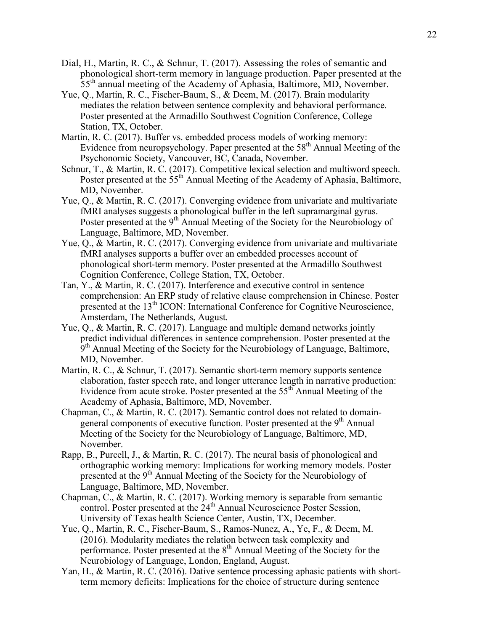- Dial, H., Martin, R. C., & Schnur, T. (2017). Assessing the roles of semantic and phonological short-term memory in language production. Paper presented at the  $55<sup>th</sup>$  annual meeting of the Academy of Aphasia, Baltimore, MD, November.
- Yue, Q., Martin, R. C., Fischer-Baum, S., & Deem, M. (2017). Brain modularity mediates the relation between sentence complexity and behavioral performance. Poster presented at the Armadillo Southwest Cognition Conference, College Station, TX, October.
- Martin, R. C. (2017). Buffer vs. embedded process models of working memory: Evidence from neuropsychology. Paper presented at the  $58<sup>th</sup>$  Annual Meeting of the Psychonomic Society, Vancouver, BC, Canada, November.
- Schnur, T., & Martin, R. C. (2017). Competitive lexical selection and multiword speech. Poster presented at the 55<sup>th</sup> Annual Meeting of the Academy of Aphasia, Baltimore, MD, November.
- Poster presented at the 9<sup>th</sup> Annual Meeting of the Society for the Neurobiology of Yue, Q., & Martin, R. C. (2017). Converging evidence from univariate and multivariate fMRI analyses suggests a phonological buffer in the left supramarginal gyrus. Language, Baltimore, MD, November.
- Yue, Q., & Martin, R. C. (2017). Converging evidence from univariate and multivariate fMRI analyses supports a buffer over an embedded processes account of phonological short-term memory. Poster presented at the Armadillo Southwest Cognition Conference, College Station, TX, October.
- Tan, Y., & Martin, R. C. (2017). Interference and executive control in sentence comprehension: An ERP study of relative clause comprehension in Chinese. Poster presented at the 13<sup>th</sup> ICON: International Conference for Cognitive Neuroscience, Amsterdam, The Netherlands, August.
- Yue, Q., & Martin, R. C. (2017). Language and multiple demand networks jointly predict individual differences in sentence comprehension. Poster presented at the 9<sup>th</sup> Annual Meeting of the Society for the Neurobiology of Language, Baltimore, MD, November.
- Martin, R. C., & Schnur, T. (2017). Semantic short-term memory supports sentence elaboration, faster speech rate, and longer utterance length in narrative production: Evidence from acute stroke. Poster presented at the 55th Annual Meeting of the Academy of Aphasia, Baltimore, MD, November.
- general components of executive function. Poster presented at the 9<sup>th</sup> Annual Chapman, C., & Martin, R. C. (2017). Semantic control does not related to domain-Meeting of the Society for the Neurobiology of Language, Baltimore, MD, November.
- Rapp, B., Purcell, J., & Martin, R. C. (2017). The neural basis of phonological and orthographic working memory: Implications for working memory models. Poster presented at the 9<sup>th</sup> Annual Meeting of the Society for the Neurobiology of Language, Baltimore, MD, November.
- Chapman, C., & Martin, R. C. (2017). Working memory is separable from semantic control. Poster presented at the 24<sup>th</sup> Annual Neuroscience Poster Session, University of Texas health Science Center, Austin, TX, December.
- Yue, Q., Martin, R. C., Fischer-Baum, S., Ramos-Nunez, A., Ye, F., & Deem, M. (2016). Modularity mediates the relation between task complexity and performance. Poster presented at the 8<sup>th</sup> Annual Meeting of the Society for the Neurobiology of Language, London, England, August.
- Yan, H., & Martin, R. C. (2016). Dative sentence processing aphasic patients with shortterm memory deficits: Implications for the choice of structure during sentence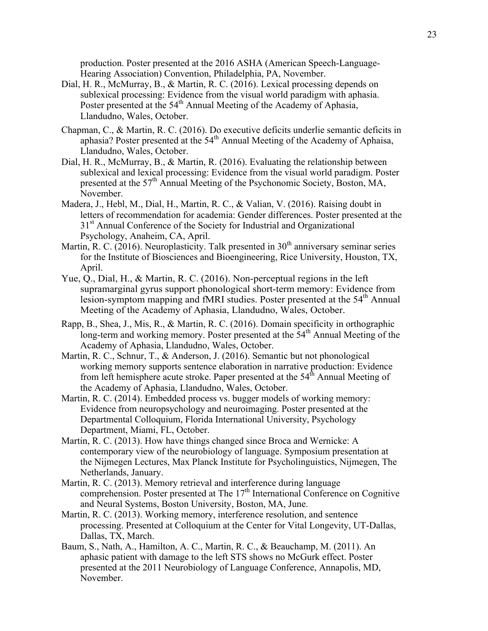production. Poster presented at the 2016 ASHA (American Speech-Language-Hearing Association) Convention, Philadelphia, PA, November.

- Poster presented at the 54<sup>th</sup> Annual Meeting of the Academy of Aphasia, Dial, H. R., McMurray, B., & Martin, R. C. (2016). Lexical processing depends on sublexical processing: Evidence from the visual world paradigm with aphasia. Llandudno, Wales, October.
- Chapman, C., & Martin, R. C. (2016). Do executive deficits underlie semantic deficits in aphasia? Poster presented at the  $54<sup>th</sup>$  Annual Meeting of the Academy of Aphaisa, Llandudno, Wales, October.
- Dial, H. R., McMurray, B., & Martin, R. (2016). Evaluating the relationship between sublexical and lexical processing: Evidence from the visual world paradigm. Poster presented at the 57<sup>th</sup> Annual Meeting of the Psychonomic Society, Boston, MA, November.
- letters of recommendation for academia: Gender differences. Poster presented at the Madera, J., Hebl, M., Dial, H., Martin, R. C., & Valian, V. (2016). Raising doubt in 31<sup>st</sup> Annual Conference of the Society for Industrial and Organizational Psychology, Anaheim, CA, April.
- Martin, R. C. (2016). Neuroplasticity. Talk presented in  $30<sup>th</sup>$  anniversary seminar series for the Institute of Biosciences and Bioengineering, Rice University, Houston, TX, April.
- Yue, Q., Dial, H., & Martin, R. C. (2016). Non-perceptual regions in the left supramarginal gyrus support phonological short-term memory: Evidence from lesion-symptom mapping and fMRI studies. Poster presented at the 54<sup>th</sup> Annual Meeting of the Academy of Aphasia, Llandudno, Wales, October.
- long-term and working memory. Poster presented at the 54<sup>th</sup> Annual Meeting of the Rapp, B., Shea, J., Mis, R., & Martin, R. C. (2016). Domain specificity in orthographic Academy of Aphasia, Llandudno, Wales, October.
- from left hemisphere acute stroke. Paper presented at the 54<sup>th</sup> Annual Meeting of Martin, R. C., Schnur, T., & Anderson, J. (2016). Semantic but not phonological working memory supports sentence elaboration in narrative production: Evidence the Academy of Aphasia, Llandudno, Wales, October.
- Martin, R. C. (2014). Embedded process vs. bugger models of working memory: Evidence from neuropsychology and neuroimaging. Poster presented at the Departmental Colloquium, Florida International University, Psychology Department, Miami, FL, October.
- Martin, R. C. (2013). How have things changed since Broca and Wernicke: A contemporary view of the neurobiology of language. Symposium presentation at the Nijmegen Lectures, Max Planck Institute for Psycholinguistics, Nijmegen, The Netherlands, January.
- Martin, R. C. (2013). Memory retrieval and interference during language comprehension. Poster presented at The  $17<sup>th</sup>$  International Conference on Cognitive and Neural Systems, Boston University, Boston, MA, June.
- Martin, R. C. (2013). Working memory, interference resolution, and sentence processing. Presented at Colloquium at the Center for Vital Longevity, UT-Dallas, Dallas, TX, March.
- Baum, S., Nath, A., Hamilton, A. C., Martin, R. C., & Beauchamp, M. (2011). An aphasic patient with damage to the left STS shows no McGurk effect. Poster presented at the 2011 Neurobiology of Language Conference, Annapolis, MD, November.